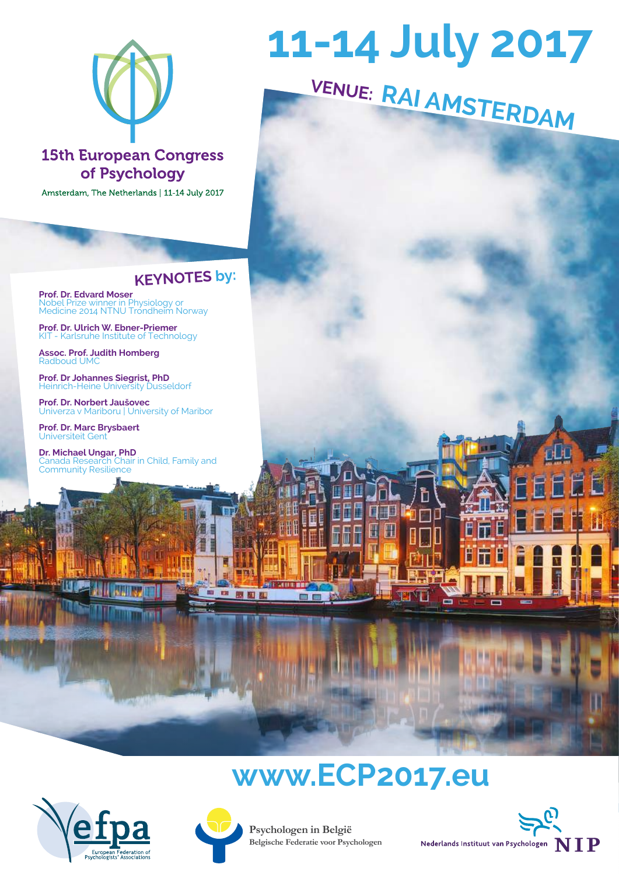

### **15th European Congress** of Psychology

Amsterdam, The Netherlands | 11-14 July 2017

**Psychologen in België Belgische Federatie voor Psychologen**

Nederlands Instituut van Psychologen  $\bf\prod\bf P$ 

**CB** 



**Prof. Dr. Edvard Moser**  Nobel Prize winner in Physiology or Medicine 2014 NTNU Tróndheim Norway

# **11-14 July 2017**

## **www.ECP2017.eu**







**FARE BE** 

 $\equiv$ 

■ 器图图

### **KEYNOTES by:**

**Prof. Dr. Ulrich W. Ebner-Priemer** KIT - Karlsruhe Institute of Technology

**Assoc. Prof. Judith Homberg** Radboud UMC

**Prof. Dr Johannes Siegrist, PhD** Heinrich-Heine University Dusseldorf

**Prof. Dr. Norbert Jaušovec** Univerza v Mariboru | University of Maribor

**Prof. Dr. Marc Brysbaert** Universiteit Gent

**Dr. Michael Ungar, PhD** Canada Research Chair in Child, Family and Community Resilience